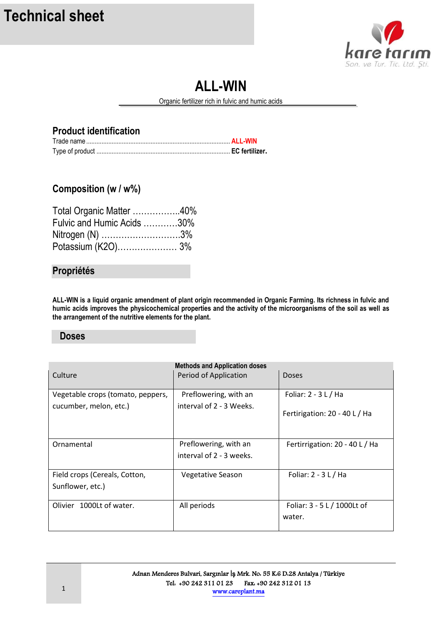

# **ALL-WIN**

Organic fertilizer rich in fulvic and humic acids

#### **Product identification**

### **Composition (w / w%)**

| Total Organic Matter 40%   |  |
|----------------------------|--|
| Fulvic and Humic Acids 30% |  |
| Nitrogen (N) 3%            |  |
| Potassium (K2O) 3%         |  |

#### **Propriétés**

**ALL-WIN is a liquid organic amendment of plant origin recommended in Organic Farming. Its richness in fulvic and humic acids improves the physicochemical properties and the activity of the microorganisms of the soil as well as the arrangement of the nutritive elements for the plant.** 

#### **Doses**

| <b>Methods and Application doses</b> |                          |                                |  |
|--------------------------------------|--------------------------|--------------------------------|--|
| Culture                              | Period of Application    | <b>Doses</b>                   |  |
|                                      |                          |                                |  |
| Vegetable crops (tomato, peppers,    | Preflowering, with an    | Foliar: $2 - 3$ L / Ha         |  |
| cucumber, melon, etc.)               | interval of 2 - 3 Weeks. |                                |  |
|                                      |                          | Fertirigation: 20 - 40 L / Ha  |  |
|                                      |                          |                                |  |
|                                      |                          |                                |  |
| Ornamental                           | Preflowering, with an    | Fertirrigation: 20 - 40 L / Ha |  |
|                                      | interval of 2 - 3 weeks. |                                |  |
|                                      |                          |                                |  |
| Field crops (Cereals, Cotton,        | <b>Vegetative Season</b> | Foliar: $2 - 3 L / Ha$         |  |
| Sunflower, etc.)                     |                          |                                |  |
|                                      |                          |                                |  |
| Olivier 1000Lt of water.             | All periods              | Foliar: 3 - 5 L / 1000Lt of    |  |
|                                      |                          | water.                         |  |
|                                      |                          |                                |  |

İ